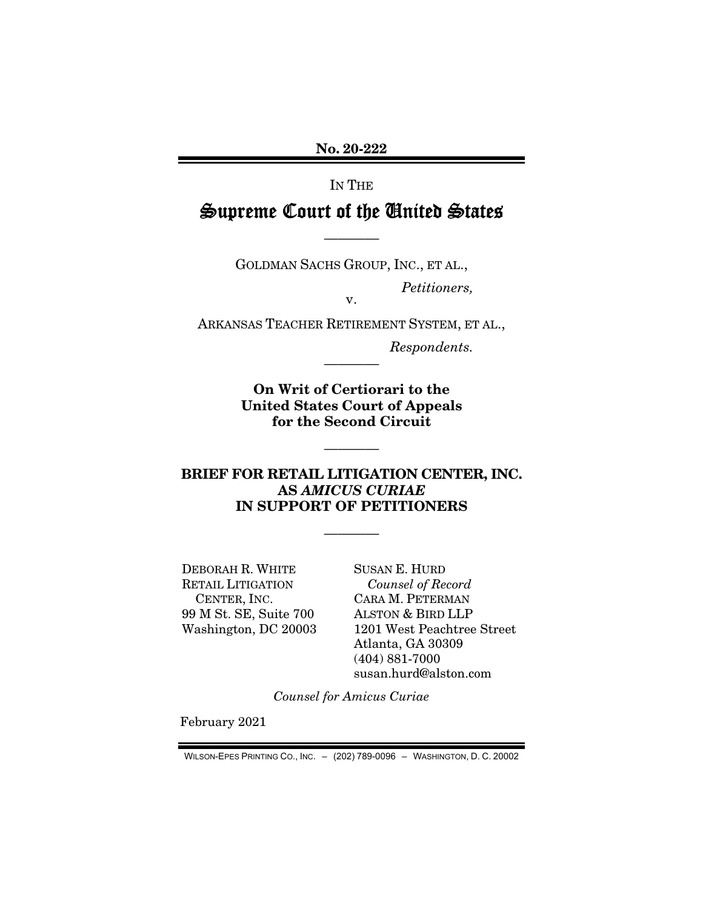No. 20-222

IN THE

# Supreme Court of the United States

GOLDMAN SACHS GROUP, INC., ET AL.,

————

*Petitioners,* 

ARKANSAS TEACHER RETIREMENT SYSTEM, ET AL.,

————

v.

*Respondents.* 

On Writ of Certiorari to the United States Court of Appeals for the Second Circuit

————

#### BRIEF FOR RETAIL LITIGATION CENTER, INC. AS *AMICUS CURIAE*  IN SUPPORT OF PETITIONERS

————

DEBORAH R. WHITE RETAIL LITIGATION CENTER, INC. 99 M St. SE, Suite 700 Washington, DC 20003 SUSAN E. HURD *Counsel of Record*  CARA M. PETERMAN ALSTON & BIRD LLP 1201 West Peachtree Street Atlanta, GA 30309 (404) 881-7000 susan.hurd@alston.com

*Counsel for Amicus Curiae* 

February 2021

WILSON-EPES PRINTING CO., INC. – (202) 789-0096 – WASHINGTON, D. C. 20002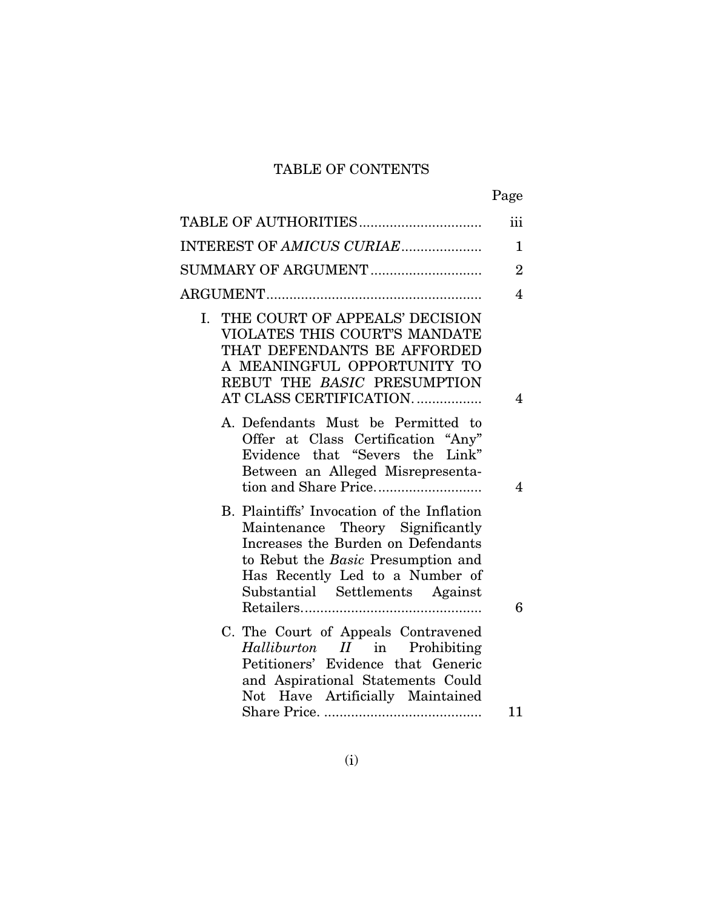## TABLE OF CONTENTS

| ۰, |
|----|
|----|

| TABLE OF AUTHORITIES                                                                                                                                                                                                             | iii            |
|----------------------------------------------------------------------------------------------------------------------------------------------------------------------------------------------------------------------------------|----------------|
| INTEREST OF AMICUS CURIAE                                                                                                                                                                                                        | $\mathbf{1}$   |
| SUMMARY OF ARGUMENT                                                                                                                                                                                                              | $\overline{2}$ |
|                                                                                                                                                                                                                                  | $\overline{4}$ |
| I. THE COURT OF APPEALS' DECISION<br>VIOLATES THIS COURT'S MANDATE<br>THAT DEFENDANTS BE AFFORDED<br>A MEANINGFUL OPPORTUNITY TO<br>REBUT THE BASIC PRESUMPTION<br>AT CLASS CERTIFICATION                                        | $\overline{4}$ |
| A. Defendants Must be Permitted to<br>Offer at Class Certification "Any"<br>Evidence that "Severs the Link"<br>Between an Alleged Misrepresenta-                                                                                 | $\overline{4}$ |
| B. Plaintiffs' Invocation of the Inflation<br>Maintenance Theory Significantly<br>Increases the Burden on Defendants<br>to Rebut the Basic Presumption and<br>Has Recently Led to a Number of<br>Substantial Settlements Against | 6              |
| C. The Court of Appeals Contravened<br>Halliburton II in Prohibiting<br>Petitioners' Evidence that Generic<br>and Aspirational Statements Could<br>Not Have Artificially Maintained                                              |                |
|                                                                                                                                                                                                                                  | 11             |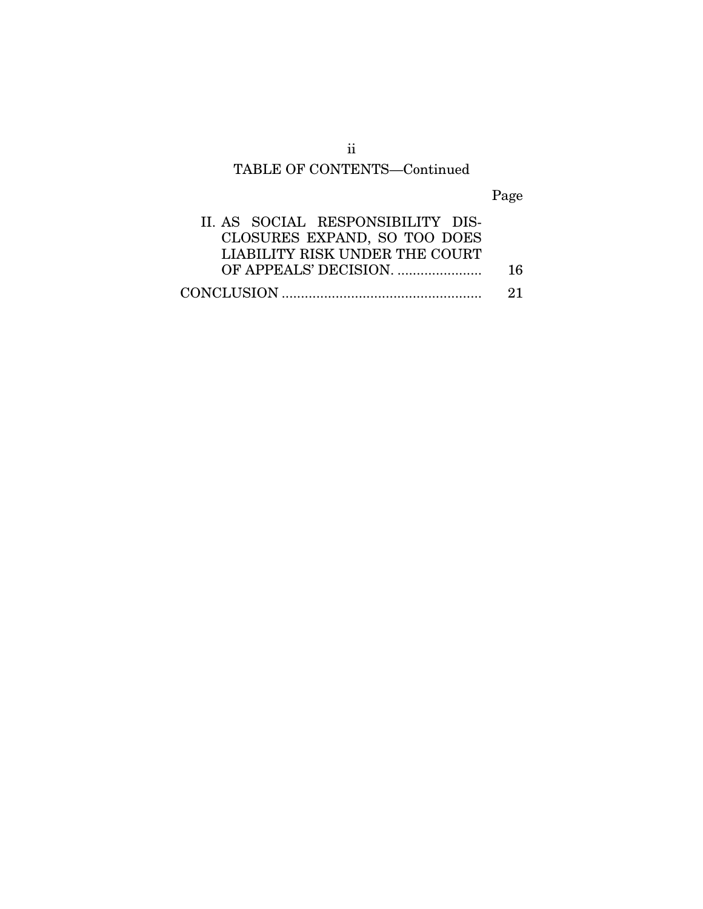# TABLE OF CONTENTS—Continued

Page

| II. AS SOCIAL RESPONSIBILITY DIS- |     |
|-----------------------------------|-----|
| CLOSURES EXPAND, SO TOO DOES      |     |
| LIABILITY RISK UNDER THE COURT    |     |
|                                   | 16. |
|                                   | -21 |

ii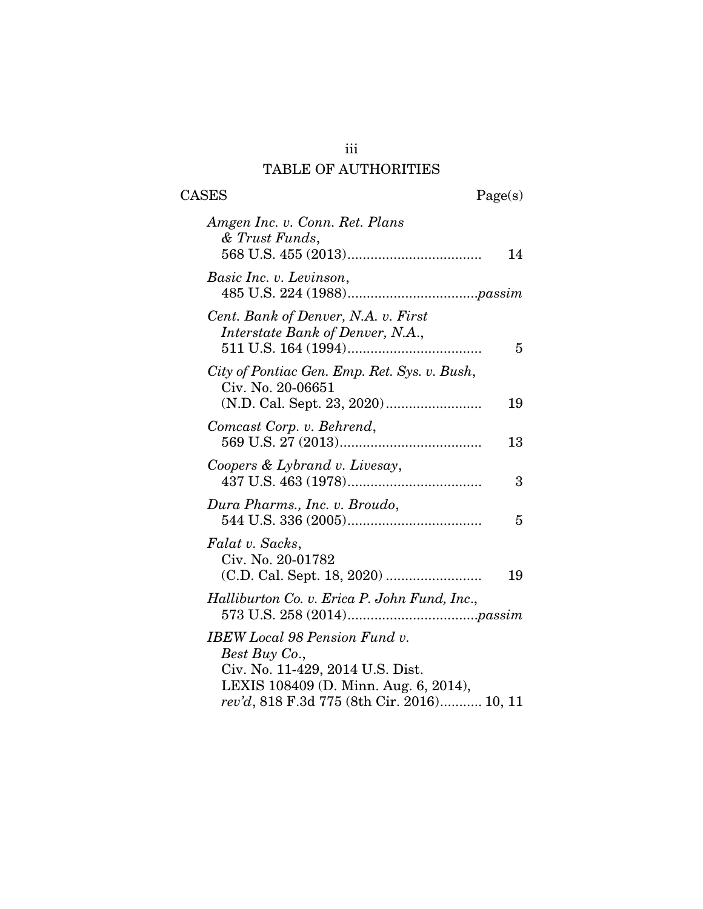## iii TABLE OF AUTHORITIES

 $\begin{tabular}{cc} \textbf{CASES} & \textbf{Page(s)}\\ \end{tabular}$ 

| Amgen Inc. v. Conn. Ret. Plans<br>& Trust Funds,                                                                                   |    |
|------------------------------------------------------------------------------------------------------------------------------------|----|
|                                                                                                                                    | 14 |
| Basic Inc. v. Levinson,                                                                                                            |    |
| Cent. Bank of Denver, N.A. v. First<br>Interstate Bank of Denver, N.A.,                                                            | 5  |
| City of Pontiac Gen. Emp. Ret. Sys. v. Bush,<br>Civ. No. 20-06651                                                                  | 19 |
| Comcast Corp. v. Behrend,                                                                                                          | 13 |
| Coopers & Lybrand v. Livesay,                                                                                                      | 3  |
| Dura Pharms., Inc. v. Broudo,                                                                                                      | 5  |
| Falat v. Sacks,<br>Civ. No. 20-01782                                                                                               | 19 |
| Halliburton Co. v. Erica P. John Fund, Inc.,                                                                                       |    |
| <b>IBEW</b> Local 98 Pension Fund v.<br>Best Buy Co.,<br>Civ. No. 11-429, 2014 U.S. Dist.<br>LEXIS 108409 (D. Minn. Aug. 6, 2014), |    |
| rev'd, 818 F.3d 775 (8th Cir. 2016) 10, 11                                                                                         |    |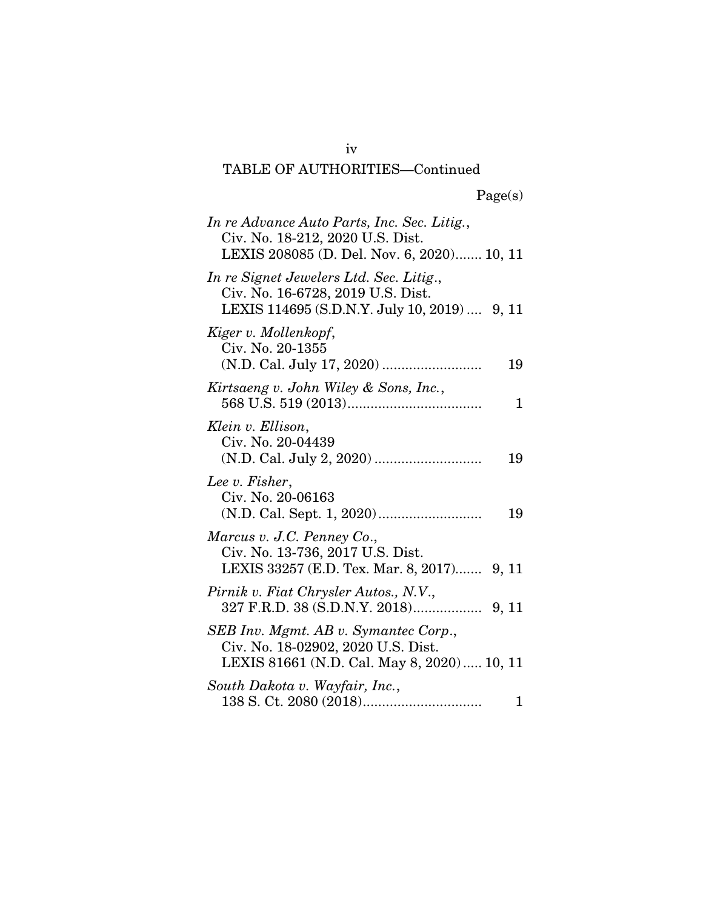# Page(s)

| In re Advance Auto Parts, Inc. Sec. Litig.,<br>Civ. No. 18-212, 2020 U.S. Dist.<br>LEXIS 208085 (D. Del. Nov. 6, 2020) 10, 11 |
|-------------------------------------------------------------------------------------------------------------------------------|
| In re Signet Jewelers Ltd. Sec. Litig.,<br>Civ. No. 16-6728, 2019 U.S. Dist.<br>LEXIS 114695 (S.D.N.Y. July 10, 2019)  9, 11  |
| Kiger v. Mollenkopf,<br>Civ. No. 20-1355<br>19                                                                                |
| Kirtsaeng v. John Wiley & Sons, Inc.,<br>1                                                                                    |
| Klein v. Ellison,<br>Civ. No. 20-04439<br>19                                                                                  |
| Lee v. Fisher,<br>Civ. No. 20-06163<br>19                                                                                     |
| Marcus v. J.C. Penney Co.,<br>Civ. No. 13-736, 2017 U.S. Dist.<br>LEXIS 33257 (E.D. Tex. Mar. 8, 2017) 9, 11                  |
| Pirnik v. Fiat Chrysler Autos., N.V.,                                                                                         |
| SEB Inv. Mgmt. AB v. Symantec Corp.,<br>Civ. No. 18-02902, 2020 U.S. Dist.<br>LEXIS 81661 (N.D. Cal. May 8, 2020)  10, 11     |
| South Dakota v. Wayfair, Inc.,<br>$\mathbf{1}$                                                                                |

iv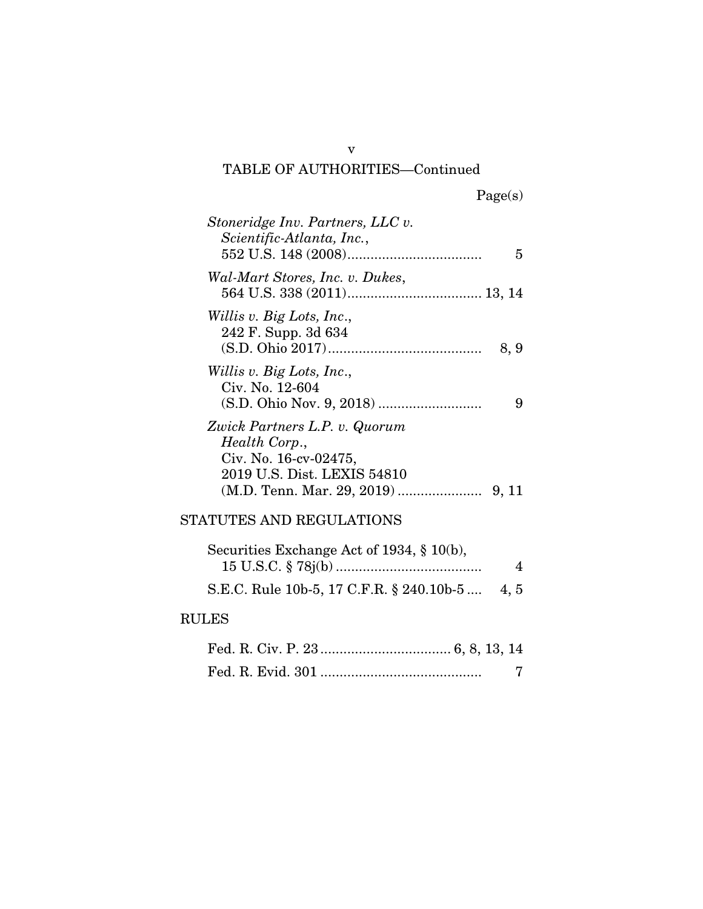|  | Page(s) |
|--|---------|
|  |         |

| Stoneridge Inv. Partners, LLC v.<br>Scientific-Atlanta, Inc., | 5    |
|---------------------------------------------------------------|------|
| Wal-Mart Stores, Inc. v. Dukes,                               |      |
|                                                               |      |
| Willis v. Big Lots, Inc.,<br>242 F. Supp. 3d 634              | 8, 9 |
| Willis v. Big Lots, Inc.,                                     |      |
| Civ. No. 12-604                                               | 9    |
| Zwick Partners L.P. v. Quorum                                 |      |
| Health Corp.,<br>Civ. No. 16-cv-02475,                        |      |
| 2019 U.S. Dist. LEXIS 54810                                   |      |
|                                                               |      |
| STATUTES AND REGULATIONS                                      |      |
| Securities Exchange Act of 1934, $\S$ 10(b),                  | 4    |
| S.E.C. Rule 10b-5, 17 C.F.R. § 240.10b-5  4, 5                |      |
| ם הדדם                                                        |      |

### RULES

v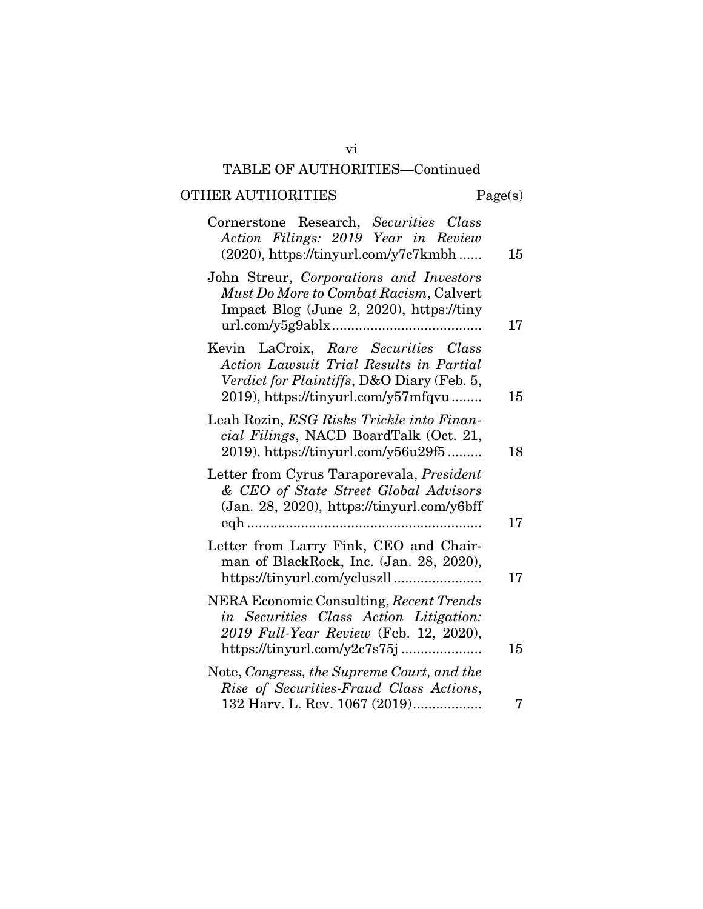# OTHER AUTHORITIES Page(s)

| Cornerstone Research, Securities Class<br>Action Filings: 2019 Year in Review<br>(2020), https://tinyurl.com/y7c7kmbh                                                | 15 |
|----------------------------------------------------------------------------------------------------------------------------------------------------------------------|----|
| John Streur, Corporations and Investors<br>Must Do More to Combat Racism, Calvert<br>Impact Blog (June 2, 2020), https://tiny                                        | 17 |
| Kevin LaCroix, Rare Securities Class<br>Action Lawsuit Trial Results in Partial<br>Verdict for Plaintiffs, D&O Diary (Feb. 5,<br>2019), https://tinyurl.com/y57mfqvu | 15 |
| Leah Rozin, ESG Risks Trickle into Finan-<br>cial Filings, NACD BoardTalk (Oct. 21,<br>2019), https://tinyurl.com/y56u29f5                                           | 18 |
| Letter from Cyrus Taraporevala, <i>President</i><br>& CEO of State Street Global Advisors<br>(Jan. 28, 2020), https://tinyurl.com/y6bff                              | 17 |
| Letter from Larry Fink, CEO and Chair-<br>man of BlackRock, Inc. (Jan. 28, 2020),                                                                                    | 17 |
| NERA Economic Consulting, Recent Trends<br>in Securities Class Action Litigation:<br>2019 Full-Year Review (Feb. 12, 2020),                                          | 15 |
| Note, Congress, the Supreme Court, and the<br>Rise of Securities-Fraud Class Actions,<br>132 Harv. L. Rev. 1067 (2019)                                               | 7  |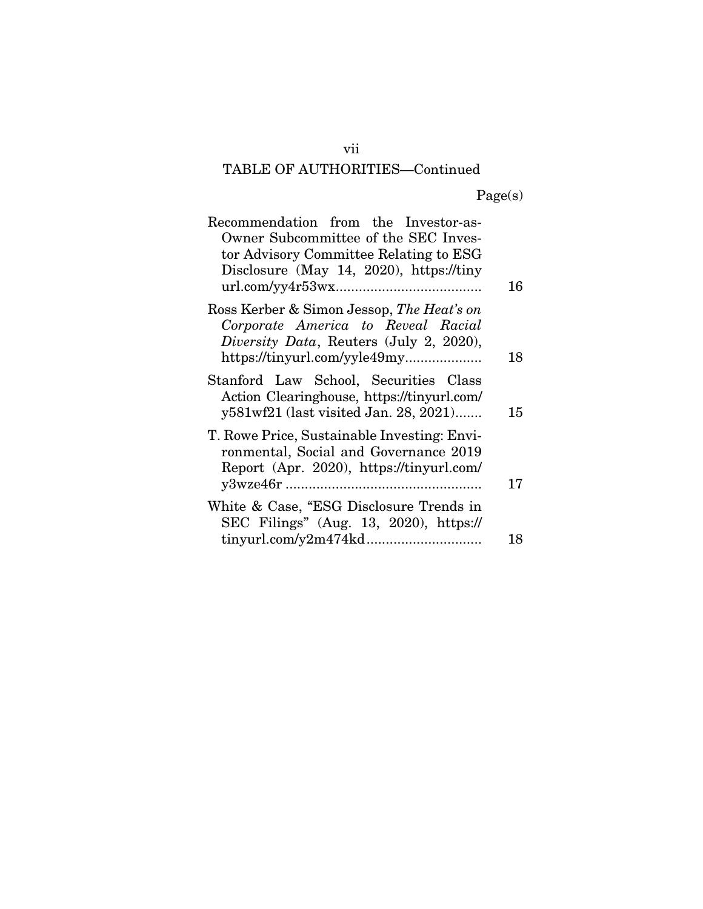Page(s)

| Recommendation from the Investor-as-<br>Owner Subcommittee of the SEC Inves-<br>tor Advisory Committee Relating to ESG<br>Disclosure (May 14, 2020), https://tiny |    |
|-------------------------------------------------------------------------------------------------------------------------------------------------------------------|----|
|                                                                                                                                                                   | 16 |
| Ross Kerber & Simon Jessop, The Heat's on<br>Corporate America to Reveal Racial<br><i>Diversity Data</i> , Reuters (July 2, 2020),                                | 18 |
| Stanford Law School, Securities Class<br>Action Clearinghouse, https://tinyurl.com/<br>y581wf21 (last visited Jan. 28, 2021)                                      | 15 |
| T. Rowe Price, Sustainable Investing: Envi-<br>ronmental, Social and Governance 2019<br>Report (Apr. 2020), https://tinyurl.com/                                  | 17 |
| White & Case, "ESG Disclosure Trends in<br>SEC Filings" (Aug. 13, 2020), https://                                                                                 |    |
|                                                                                                                                                                   | 18 |

vii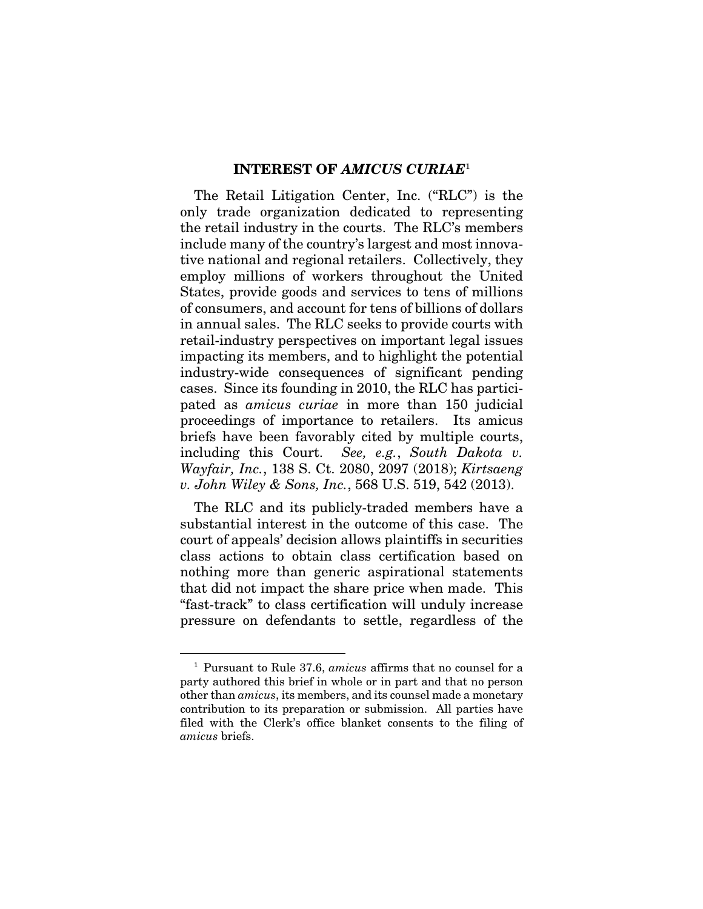#### INTEREST OF *AMICUS CURIAE*<sup>1</sup>

The Retail Litigation Center, Inc. ("RLC") is the only trade organization dedicated to representing the retail industry in the courts. The RLC's members include many of the country's largest and most innovative national and regional retailers. Collectively, they employ millions of workers throughout the United States, provide goods and services to tens of millions of consumers, and account for tens of billions of dollars in annual sales. The RLC seeks to provide courts with retail-industry perspectives on important legal issues impacting its members, and to highlight the potential industry-wide consequences of significant pending cases. Since its founding in 2010, the RLC has participated as *amicus curiae* in more than 150 judicial proceedings of importance to retailers. Its amicus briefs have been favorably cited by multiple courts, including this Court. *See, e.g.*, *South Dakota v. Wayfair, Inc.*, 138 S. Ct. 2080, 2097 (2018); *Kirtsaeng v. John Wiley & Sons, Inc.*, 568 U.S. 519, 542 (2013).

The RLC and its publicly-traded members have a substantial interest in the outcome of this case. The court of appeals' decision allows plaintiffs in securities class actions to obtain class certification based on nothing more than generic aspirational statements that did not impact the share price when made. This "fast-track" to class certification will unduly increase pressure on defendants to settle, regardless of the

<sup>1</sup> Pursuant to Rule 37.6, *amicus* affirms that no counsel for a party authored this brief in whole or in part and that no person other than *amicus*, its members, and its counsel made a monetary contribution to its preparation or submission. All parties have filed with the Clerk's office blanket consents to the filing of *amicus* briefs.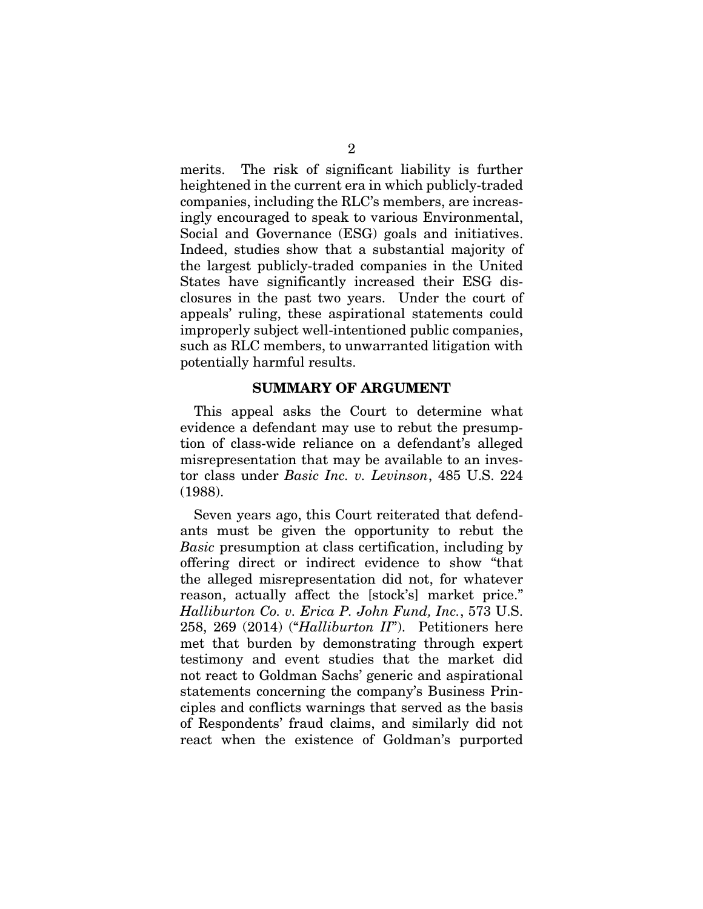merits. The risk of significant liability is further heightened in the current era in which publicly-traded companies, including the RLC's members, are increasingly encouraged to speak to various Environmental, Social and Governance (ESG) goals and initiatives. Indeed, studies show that a substantial majority of the largest publicly-traded companies in the United States have significantly increased their ESG disclosures in the past two years. Under the court of appeals' ruling, these aspirational statements could improperly subject well-intentioned public companies, such as RLC members, to unwarranted litigation with potentially harmful results.

#### SUMMARY OF ARGUMENT

This appeal asks the Court to determine what evidence a defendant may use to rebut the presumption of class-wide reliance on a defendant's alleged misrepresentation that may be available to an investor class under *Basic Inc. v. Levinson*, 485 U.S. 224 (1988).

Seven years ago, this Court reiterated that defendants must be given the opportunity to rebut the *Basic* presumption at class certification, including by offering direct or indirect evidence to show "that the alleged misrepresentation did not, for whatever reason, actually affect the [stock's] market price." *Halliburton Co. v. Erica P. John Fund, Inc.*, 573 U.S. 258, 269 (2014) ("*Halliburton II*"). Petitioners here met that burden by demonstrating through expert testimony and event studies that the market did not react to Goldman Sachs' generic and aspirational statements concerning the company's Business Principles and conflicts warnings that served as the basis of Respondents' fraud claims, and similarly did not react when the existence of Goldman's purported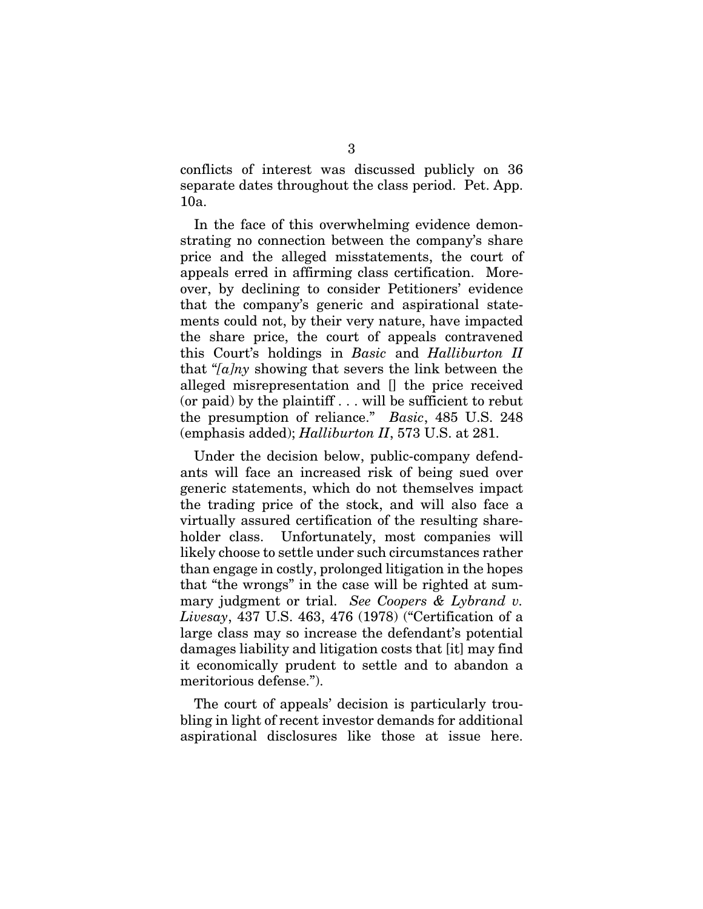conflicts of interest was discussed publicly on 36 separate dates throughout the class period. Pet. App. 10a.

In the face of this overwhelming evidence demonstrating no connection between the company's share price and the alleged misstatements, the court of appeals erred in affirming class certification. Moreover, by declining to consider Petitioners' evidence that the company's generic and aspirational statements could not, by their very nature, have impacted the share price, the court of appeals contravened this Court's holdings in *Basic* and *Halliburton II* that "*[a]ny* showing that severs the link between the alleged misrepresentation and [] the price received (or paid) by the plaintiff . . . will be sufficient to rebut the presumption of reliance." *Basic*, 485 U.S. 248 (emphasis added); *Halliburton II*, 573 U.S. at 281.

Under the decision below, public-company defendants will face an increased risk of being sued over generic statements, which do not themselves impact the trading price of the stock, and will also face a virtually assured certification of the resulting shareholder class. Unfortunately, most companies will likely choose to settle under such circumstances rather than engage in costly, prolonged litigation in the hopes that "the wrongs" in the case will be righted at summary judgment or trial. *See Coopers & Lybrand v. Livesay*, 437 U.S. 463, 476 (1978) ("Certification of a large class may so increase the defendant's potential damages liability and litigation costs that [it] may find it economically prudent to settle and to abandon a meritorious defense.").

The court of appeals' decision is particularly troubling in light of recent investor demands for additional aspirational disclosures like those at issue here.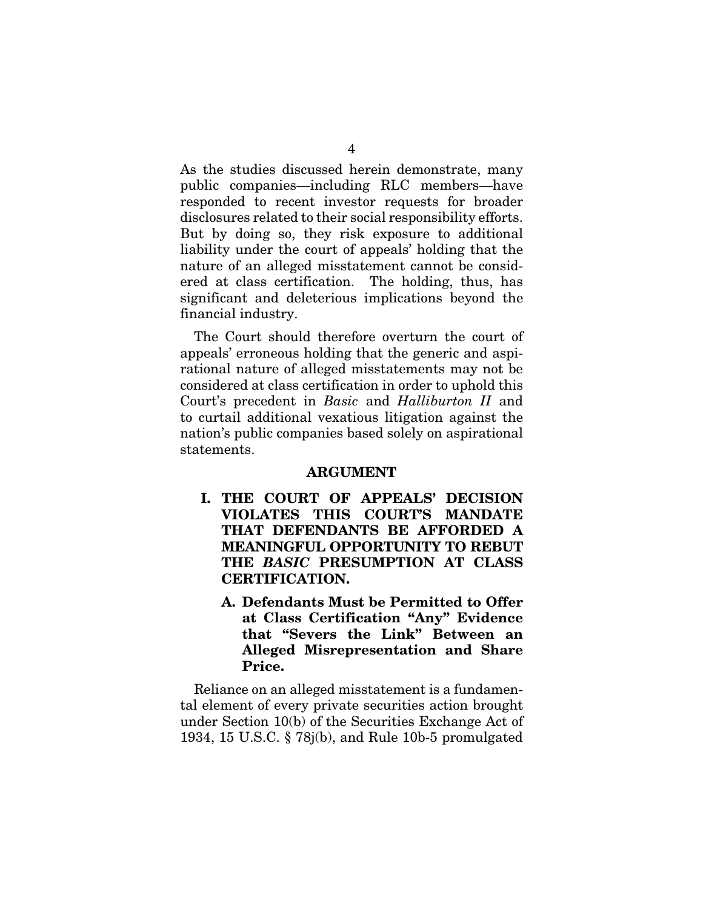As the studies discussed herein demonstrate, many public companies—including RLC members—have responded to recent investor requests for broader disclosures related to their social responsibility efforts. But by doing so, they risk exposure to additional liability under the court of appeals' holding that the nature of an alleged misstatement cannot be considered at class certification. The holding, thus, has significant and deleterious implications beyond the financial industry.

The Court should therefore overturn the court of appeals' erroneous holding that the generic and aspirational nature of alleged misstatements may not be considered at class certification in order to uphold this Court's precedent in *Basic* and *Halliburton II* and to curtail additional vexatious litigation against the nation's public companies based solely on aspirational statements.

#### ARGUMENT

- I. THE COURT OF APPEALS' DECISION VIOLATES THIS COURT'S MANDATE THAT DEFENDANTS BE AFFORDED A MEANINGFUL OPPORTUNITY TO REBUT THE *BASIC* PRESUMPTION AT CLASS CERTIFICATION.
	- A. Defendants Must be Permitted to Offer at Class Certification "Any" Evidence that "Severs the Link" Between an Alleged Misrepresentation and Share Price.

Reliance on an alleged misstatement is a fundamental element of every private securities action brought under Section 10(b) of the Securities Exchange Act of 1934, 15 U.S.C. § 78j(b), and Rule 10b-5 promulgated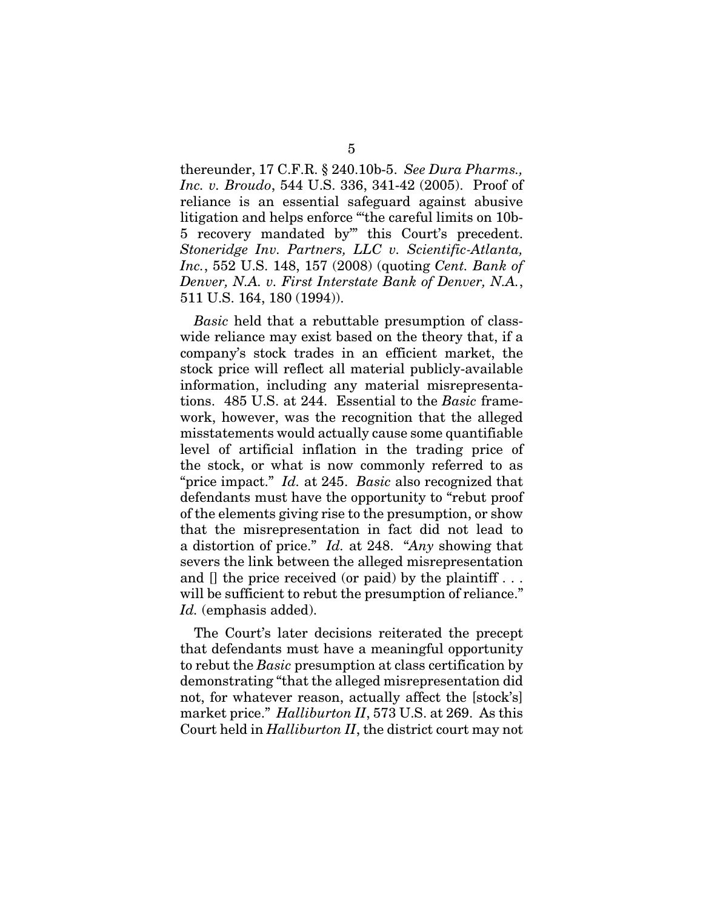thereunder, 17 C.F.R. § 240.10b-5. *See Dura Pharms., Inc. v. Broudo*, 544 U.S. 336, 341-42 (2005). Proof of reliance is an essential safeguard against abusive litigation and helps enforce "'the careful limits on 10b-5 recovery mandated by'" this Court's precedent. *Stoneridge Inv. Partners, LLC v. Scientific-Atlanta, Inc.*, 552 U.S. 148, 157 (2008) (quoting *Cent. Bank of Denver, N.A. v. First Interstate Bank of Denver, N.A.*, 511 U.S. 164, 180 (1994)).

*Basic* held that a rebuttable presumption of classwide reliance may exist based on the theory that, if a company's stock trades in an efficient market, the stock price will reflect all material publicly-available information, including any material misrepresentations. 485 U.S. at 244. Essential to the *Basic* framework, however, was the recognition that the alleged misstatements would actually cause some quantifiable level of artificial inflation in the trading price of the stock, or what is now commonly referred to as "price impact." *Id.* at 245. *Basic* also recognized that defendants must have the opportunity to "rebut proof of the elements giving rise to the presumption, or show that the misrepresentation in fact did not lead to a distortion of price." *Id.* at 248. "*Any* showing that severs the link between the alleged misrepresentation and [] the price received (or paid) by the plaintiff... will be sufficient to rebut the presumption of reliance." Id. (emphasis added).

The Court's later decisions reiterated the precept that defendants must have a meaningful opportunity to rebut the *Basic* presumption at class certification by demonstrating "that the alleged misrepresentation did not, for whatever reason, actually affect the [stock's] market price." *Halliburton II*, 573 U.S. at 269. As this Court held in *Halliburton II*, the district court may not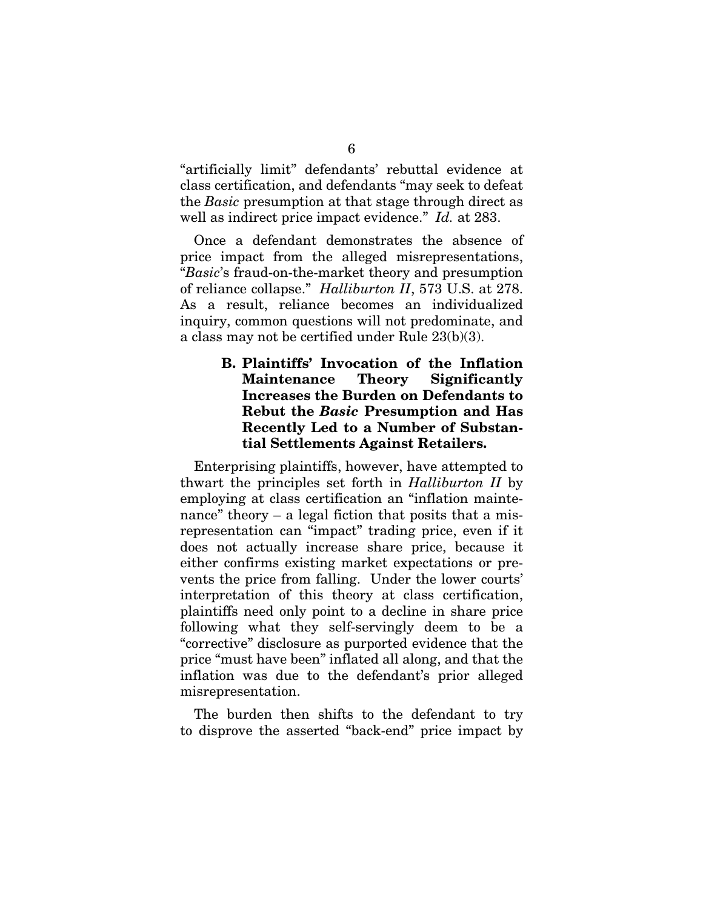"artificially limit" defendants' rebuttal evidence at class certification, and defendants "may seek to defeat the *Basic* presumption at that stage through direct as well as indirect price impact evidence." *Id.* at 283.

Once a defendant demonstrates the absence of price impact from the alleged misrepresentations, "*Basic*'s fraud-on-the-market theory and presumption of reliance collapse." *Halliburton II*, 573 U.S. at 278. As a result, reliance becomes an individualized inquiry, common questions will not predominate, and a class may not be certified under Rule 23(b)(3).

#### B. Plaintiffs' Invocation of the Inflation Maintenance Theory Significantly Increases the Burden on Defendants to Rebut the *Basic* Presumption and Has Recently Led to a Number of Substantial Settlements Against Retailers.

Enterprising plaintiffs, however, have attempted to thwart the principles set forth in *Halliburton II* by employing at class certification an "inflation maintenance" theory – a legal fiction that posits that a misrepresentation can "impact" trading price, even if it does not actually increase share price, because it either confirms existing market expectations or prevents the price from falling. Under the lower courts' interpretation of this theory at class certification, plaintiffs need only point to a decline in share price following what they self-servingly deem to be a "corrective" disclosure as purported evidence that the price "must have been" inflated all along, and that the inflation was due to the defendant's prior alleged misrepresentation.

The burden then shifts to the defendant to try to disprove the asserted "back-end" price impact by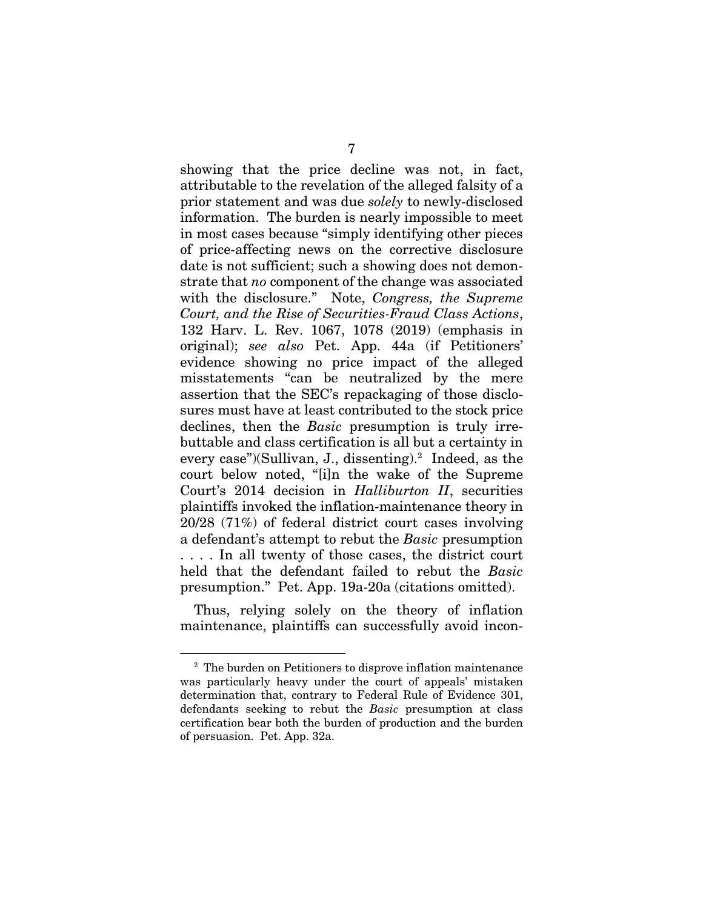showing that the price decline was not, in fact, attributable to the revelation of the alleged falsity of a prior statement and was due *solely* to newly-disclosed information. The burden is nearly impossible to meet in most cases because "simply identifying other pieces of price-affecting news on the corrective disclosure date is not sufficient; such a showing does not demonstrate that *no* component of the change was associated with the disclosure." Note, *Congress, the Supreme Court, and the Rise of Securities-Fraud Class Actions*, 132 Harv. L. Rev. 1067, 1078 (2019) (emphasis in original); *see also* Pet. App. 44a (if Petitioners' evidence showing no price impact of the alleged misstatements "can be neutralized by the mere assertion that the SEC's repackaging of those disclosures must have at least contributed to the stock price declines, then the *Basic* presumption is truly irrebuttable and class certification is all but a certainty in every case")(Sullivan, J., dissenting).<sup>2</sup> Indeed, as the court below noted, "[i]n the wake of the Supreme Court's 2014 decision in *Halliburton II*, securities plaintiffs invoked the inflation-maintenance theory in 20/28 (71%) of federal district court cases involving a defendant's attempt to rebut the *Basic* presumption . . . . In all twenty of those cases, the district court held that the defendant failed to rebut the *Basic* presumption." Pet. App. 19a-20a (citations omitted).

Thus, relying solely on the theory of inflation maintenance, plaintiffs can successfully avoid incon-

<sup>&</sup>lt;sup>2</sup> The burden on Petitioners to disprove inflation maintenance was particularly heavy under the court of appeals' mistaken determination that, contrary to Federal Rule of Evidence 301, defendants seeking to rebut the *Basic* presumption at class certification bear both the burden of production and the burden of persuasion. Pet. App. 32a.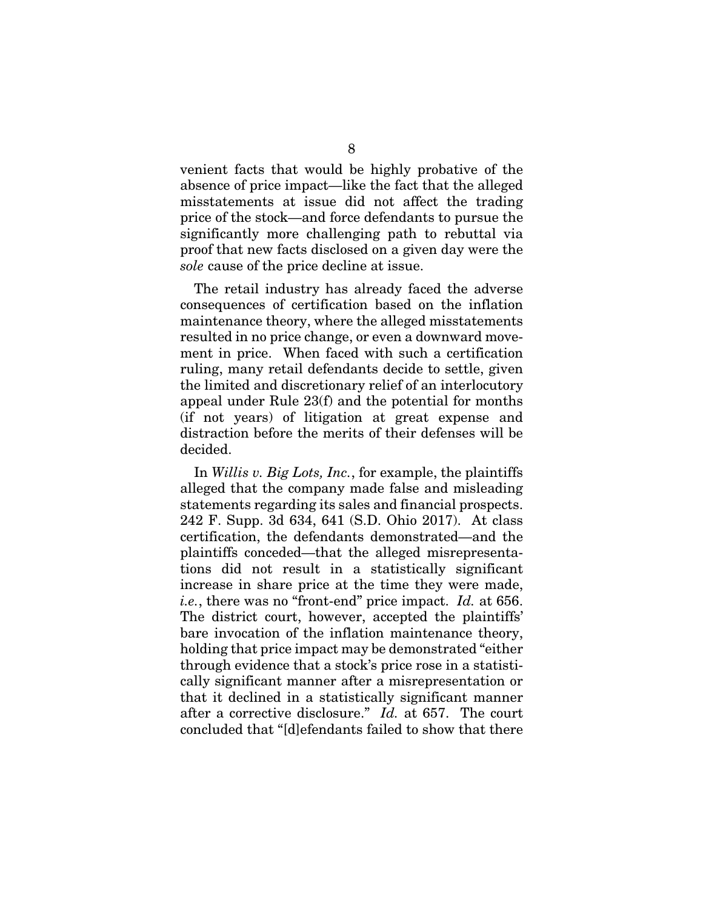venient facts that would be highly probative of the absence of price impact—like the fact that the alleged misstatements at issue did not affect the trading price of the stock—and force defendants to pursue the significantly more challenging path to rebuttal via proof that new facts disclosed on a given day were the *sole* cause of the price decline at issue.

The retail industry has already faced the adverse consequences of certification based on the inflation maintenance theory, where the alleged misstatements resulted in no price change, or even a downward movement in price. When faced with such a certification ruling, many retail defendants decide to settle, given the limited and discretionary relief of an interlocutory appeal under Rule 23(f) and the potential for months (if not years) of litigation at great expense and distraction before the merits of their defenses will be decided.

In *Willis v. Big Lots, Inc.*, for example, the plaintiffs alleged that the company made false and misleading statements regarding its sales and financial prospects. 242 F. Supp. 3d 634, 641 (S.D. Ohio 2017). At class certification, the defendants demonstrated—and the plaintiffs conceded—that the alleged misrepresentations did not result in a statistically significant increase in share price at the time they were made, *i.e.*, there was no "front-end" price impact. *Id.* at 656. The district court, however, accepted the plaintiffs' bare invocation of the inflation maintenance theory, holding that price impact may be demonstrated "either through evidence that a stock's price rose in a statistically significant manner after a misrepresentation or that it declined in a statistically significant manner after a corrective disclosure." *Id.* at 657. The court concluded that "[d]efendants failed to show that there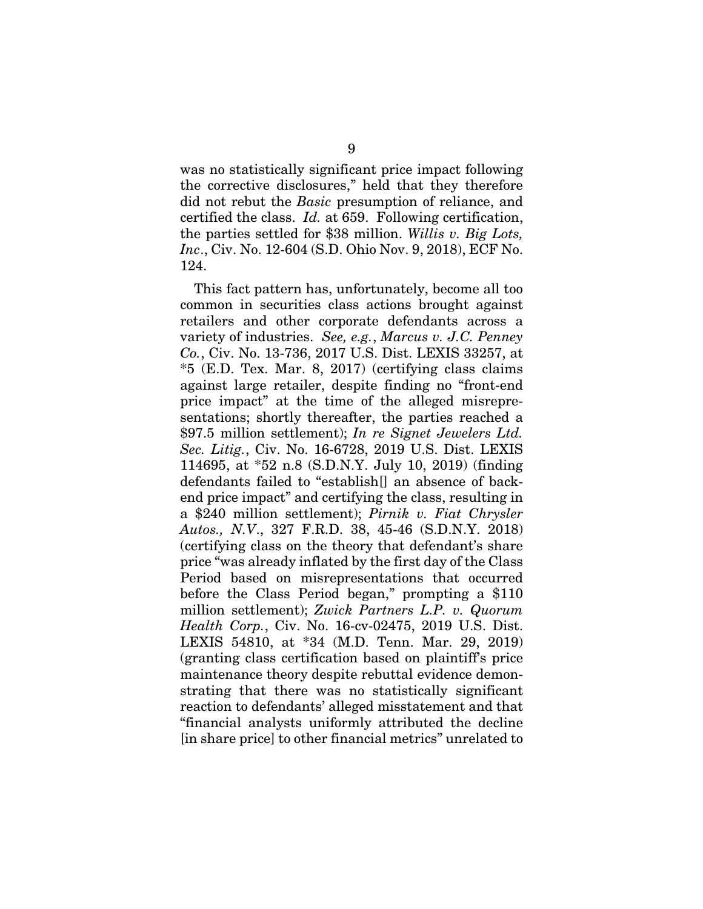was no statistically significant price impact following the corrective disclosures," held that they therefore did not rebut the *Basic* presumption of reliance, and certified the class. *Id.* at 659. Following certification, the parties settled for \$38 million. *Willis v. Big Lots, Inc*., Civ. No. 12-604 (S.D. Ohio Nov. 9, 2018), ECF No. 124.

This fact pattern has, unfortunately, become all too common in securities class actions brought against retailers and other corporate defendants across a variety of industries. *See, e.g.*, *Marcus v. J.C. Penney Co.*, Civ. No. 13-736, 2017 U.S. Dist. LEXIS 33257, at \*5 (E.D. Tex. Mar. 8, 2017) (certifying class claims against large retailer, despite finding no "front-end price impact" at the time of the alleged misrepresentations; shortly thereafter, the parties reached a \$97.5 million settlement); *In re Signet Jewelers Ltd. Sec. Litig.*, Civ. No. 16-6728, 2019 U.S. Dist. LEXIS 114695, at \*52 n.8 (S.D.N.Y. July 10, 2019) (finding defendants failed to "establish[] an absence of backend price impact" and certifying the class, resulting in a \$240 million settlement); *Pirnik v. Fiat Chrysler Autos., N.V*., 327 F.R.D. 38, 45-46 (S.D.N.Y. 2018) (certifying class on the theory that defendant's share price "was already inflated by the first day of the Class Period based on misrepresentations that occurred before the Class Period began," prompting a \$110 million settlement); *Zwick Partners L.P. v. Quorum Health Corp.*, Civ. No. 16-cv-02475, 2019 U.S. Dist. LEXIS 54810, at \*34 (M.D. Tenn. Mar. 29, 2019) (granting class certification based on plaintiff's price maintenance theory despite rebuttal evidence demonstrating that there was no statistically significant reaction to defendants' alleged misstatement and that "financial analysts uniformly attributed the decline [in share price] to other financial metrics" unrelated to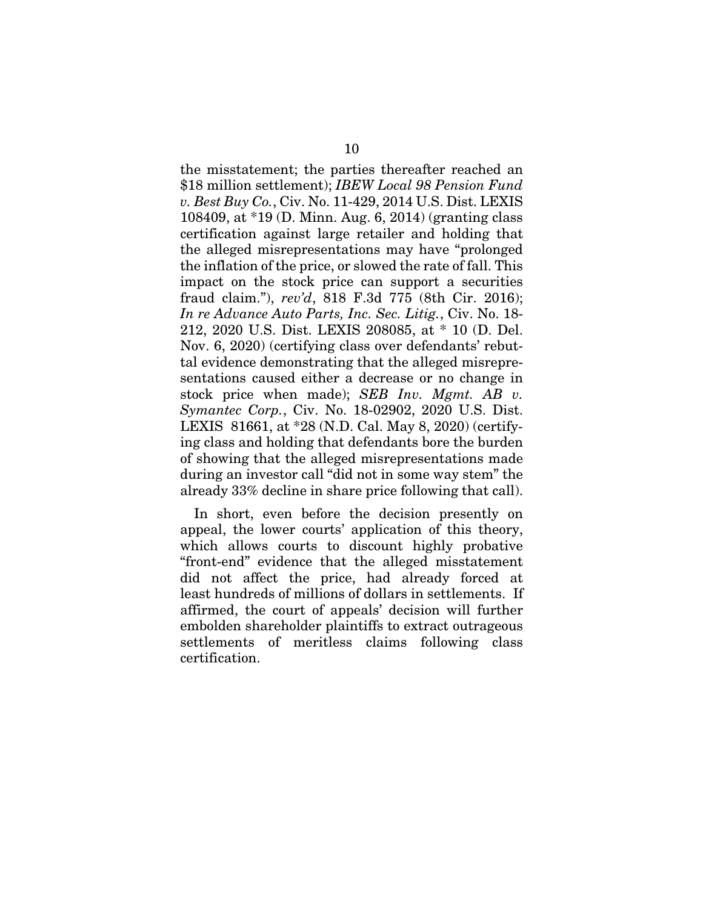the misstatement; the parties thereafter reached an \$18 million settlement); *IBEW Local 98 Pension Fund v. Best Buy Co.*, Civ. No. 11-429, 2014 U.S. Dist. LEXIS 108409, at \*19 (D. Minn. Aug. 6, 2014) (granting class certification against large retailer and holding that the alleged misrepresentations may have "prolonged the inflation of the price, or slowed the rate of fall. This impact on the stock price can support a securities fraud claim."), *rev'd*, 818 F.3d 775 (8th Cir. 2016); *In re Advance Auto Parts, Inc. Sec. Litig.*, Civ. No. 18- 212, 2020 U.S. Dist. LEXIS 208085, at \* 10 (D. Del. Nov. 6, 2020) (certifying class over defendants' rebuttal evidence demonstrating that the alleged misrepresentations caused either a decrease or no change in stock price when made); *SEB Inv. Mgmt. AB v. Symantec Corp.*, Civ. No. 18-02902, 2020 U.S. Dist. LEXIS 81661, at \*28 (N.D. Cal. May 8, 2020) (certifying class and holding that defendants bore the burden of showing that the alleged misrepresentations made during an investor call "did not in some way stem" the already 33% decline in share price following that call).

In short, even before the decision presently on appeal, the lower courts' application of this theory, which allows courts to discount highly probative "front-end" evidence that the alleged misstatement did not affect the price, had already forced at least hundreds of millions of dollars in settlements. If affirmed, the court of appeals' decision will further embolden shareholder plaintiffs to extract outrageous settlements of meritless claims following class certification.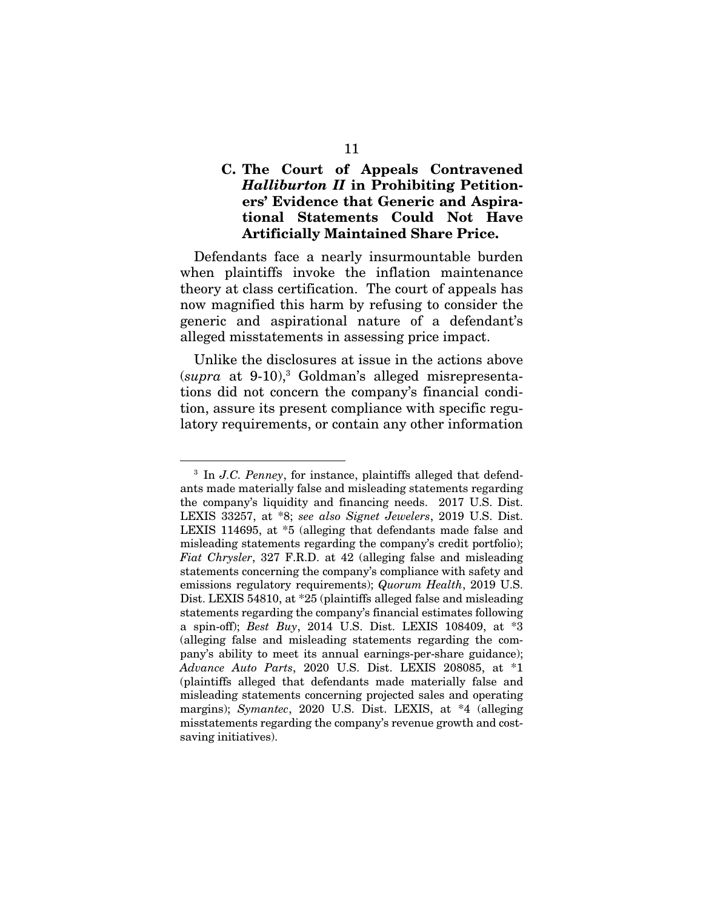#### C. The Court of Appeals Contravened *Halliburton II* in Prohibiting Petitioners' Evidence that Generic and Aspirational Statements Could Not Have Artificially Maintained Share Price.

Defendants face a nearly insurmountable burden when plaintiffs invoke the inflation maintenance theory at class certification. The court of appeals has now magnified this harm by refusing to consider the generic and aspirational nature of a defendant's alleged misstatements in assessing price impact.

Unlike the disclosures at issue in the actions above (*supra* at 9-10),3 Goldman's alleged misrepresentations did not concern the company's financial condition, assure its present compliance with specific regulatory requirements, or contain any other information

<sup>3</sup> In *J.C. Penney*, for instance, plaintiffs alleged that defendants made materially false and misleading statements regarding the company's liquidity and financing needs. 2017 U.S. Dist. LEXIS 33257, at \*8; *see also Signet Jewelers*, 2019 U.S. Dist. LEXIS 114695, at \*5 (alleging that defendants made false and misleading statements regarding the company's credit portfolio); *Fiat Chrysler*, 327 F.R.D. at 42 (alleging false and misleading statements concerning the company's compliance with safety and emissions regulatory requirements); *Quorum Health*, 2019 U.S. Dist. LEXIS 54810, at \*25 (plaintiffs alleged false and misleading statements regarding the company's financial estimates following a spin-off); *Best Buy*, 2014 U.S. Dist. LEXIS 108409, at \*3 (alleging false and misleading statements regarding the company's ability to meet its annual earnings-per-share guidance); *Advance Auto Parts*, 2020 U.S. Dist. LEXIS 208085, at \*1 (plaintiffs alleged that defendants made materially false and misleading statements concerning projected sales and operating margins); *Symantec*, 2020 U.S. Dist. LEXIS, at \*4 (alleging misstatements regarding the company's revenue growth and costsaving initiatives).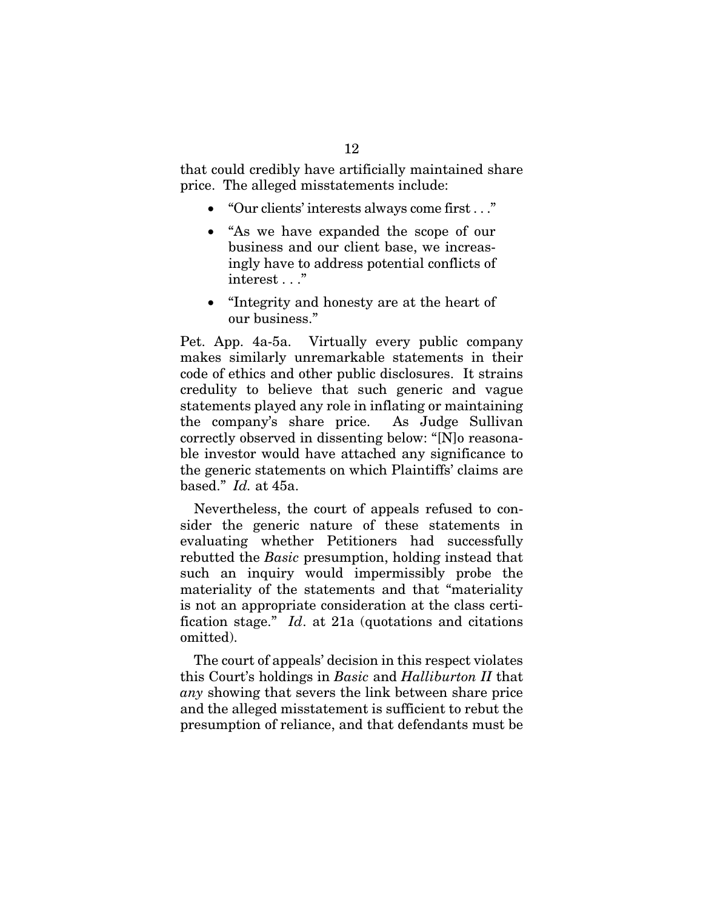that could credibly have artificially maintained share price. The alleged misstatements include:

- "Our clients' interests always come first . . ."
- "As we have expanded the scope of our business and our client base, we increasingly have to address potential conflicts of interest . . ."
- "Integrity and honesty are at the heart of our business."

Pet. App. 4a-5a. Virtually every public company makes similarly unremarkable statements in their code of ethics and other public disclosures. It strains credulity to believe that such generic and vague statements played any role in inflating or maintaining the company's share price. As Judge Sullivan correctly observed in dissenting below: "[N]o reasonable investor would have attached any significance to the generic statements on which Plaintiffs' claims are based." *Id.* at 45a.

Nevertheless, the court of appeals refused to consider the generic nature of these statements in evaluating whether Petitioners had successfully rebutted the *Basic* presumption, holding instead that such an inquiry would impermissibly probe the materiality of the statements and that "materiality is not an appropriate consideration at the class certification stage." *Id*. at 21a (quotations and citations omitted).

The court of appeals' decision in this respect violates this Court's holdings in *Basic* and *Halliburton II* that *any* showing that severs the link between share price and the alleged misstatement is sufficient to rebut the presumption of reliance, and that defendants must be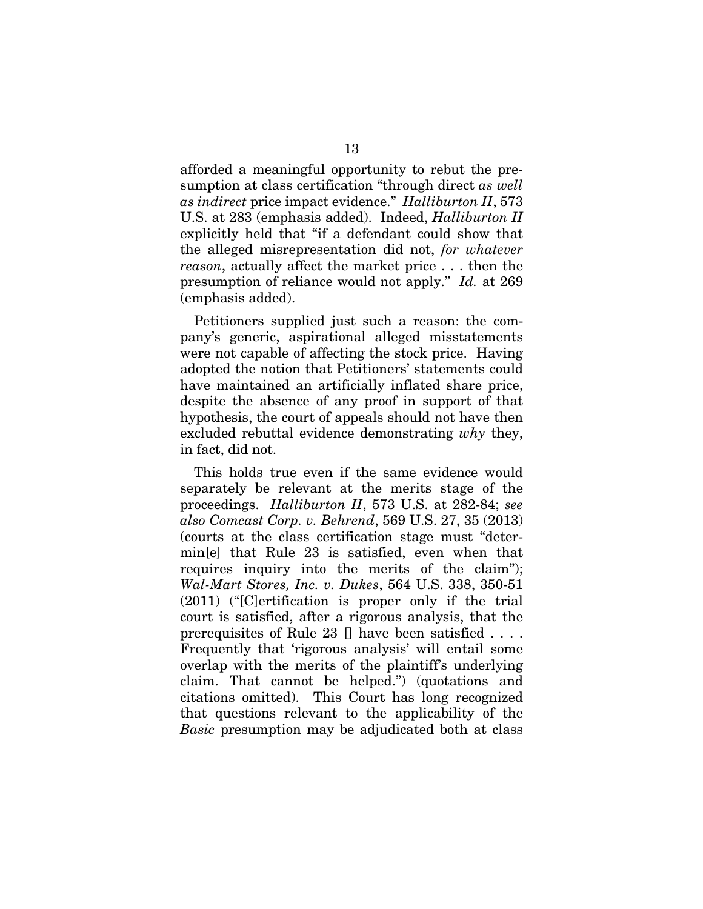afforded a meaningful opportunity to rebut the presumption at class certification "through direct *as well as indirect* price impact evidence." *Halliburton II*, 573 U.S. at 283 (emphasis added). Indeed, *Halliburton II* explicitly held that "if a defendant could show that the alleged misrepresentation did not, *for whatever reason*, actually affect the market price . . . then the presumption of reliance would not apply." *Id.* at 269 (emphasis added).

Petitioners supplied just such a reason: the company's generic, aspirational alleged misstatements were not capable of affecting the stock price. Having adopted the notion that Petitioners' statements could have maintained an artificially inflated share price, despite the absence of any proof in support of that hypothesis, the court of appeals should not have then excluded rebuttal evidence demonstrating *why* they, in fact, did not.

This holds true even if the same evidence would separately be relevant at the merits stage of the proceedings. *Halliburton II*, 573 U.S. at 282-84; *see also Comcast Corp. v. Behrend*, 569 U.S. 27, 35 (2013) (courts at the class certification stage must "determin[e] that Rule 23 is satisfied, even when that requires inquiry into the merits of the claim"); *Wal-Mart Stores, Inc. v. Dukes*, 564 U.S. 338, 350-51 (2011) ("[C]ertification is proper only if the trial court is satisfied, after a rigorous analysis, that the prerequisites of Rule 23 [] have been satisfied . . . . Frequently that 'rigorous analysis' will entail some overlap with the merits of the plaintiff's underlying claim. That cannot be helped.") (quotations and citations omitted). This Court has long recognized that questions relevant to the applicability of the *Basic* presumption may be adjudicated both at class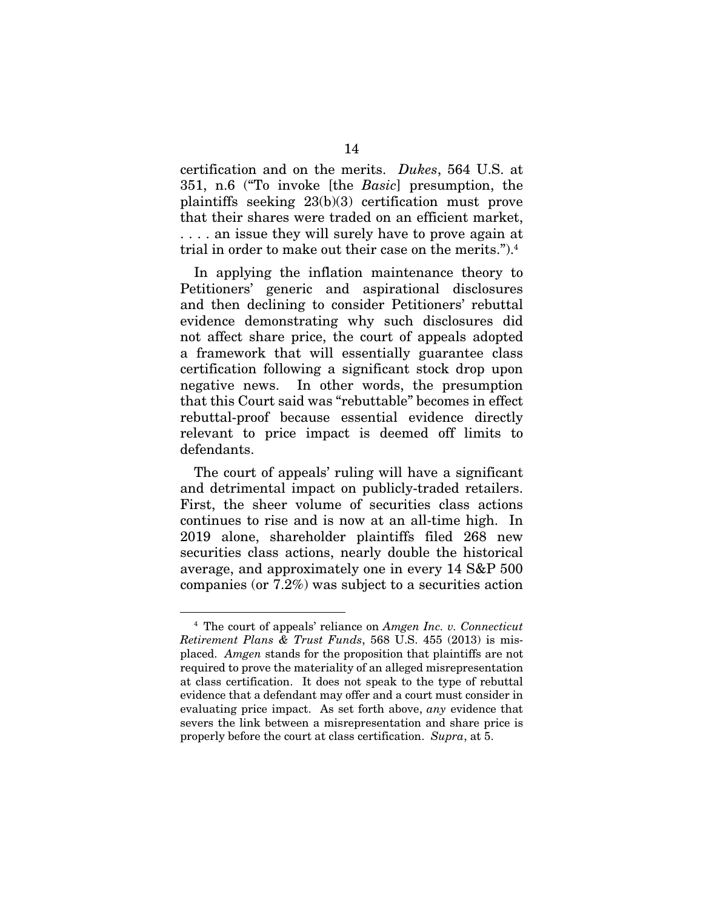certification and on the merits. *Dukes*, 564 U.S. at 351, n.6 ("To invoke [the *Basic*] presumption, the plaintiffs seeking 23(b)(3) certification must prove that their shares were traded on an efficient market, . . . . an issue they will surely have to prove again at trial in order to make out their case on the merits.").4

In applying the inflation maintenance theory to Petitioners' generic and aspirational disclosures and then declining to consider Petitioners' rebuttal evidence demonstrating why such disclosures did not affect share price, the court of appeals adopted a framework that will essentially guarantee class certification following a significant stock drop upon negative news. In other words, the presumption that this Court said was "rebuttable" becomes in effect rebuttal-proof because essential evidence directly relevant to price impact is deemed off limits to defendants.

The court of appeals' ruling will have a significant and detrimental impact on publicly-traded retailers. First, the sheer volume of securities class actions continues to rise and is now at an all-time high. In 2019 alone, shareholder plaintiffs filed 268 new securities class actions, nearly double the historical average, and approximately one in every 14 S&P 500 companies (or 7.2%) was subject to a securities action

<sup>4</sup> The court of appeals' reliance on *Amgen Inc. v. Connecticut Retirement Plans & Trust Funds*, 568 U.S. 455 (2013) is misplaced. *Amgen* stands for the proposition that plaintiffs are not required to prove the materiality of an alleged misrepresentation at class certification. It does not speak to the type of rebuttal evidence that a defendant may offer and a court must consider in evaluating price impact. As set forth above, *any* evidence that severs the link between a misrepresentation and share price is properly before the court at class certification. *Supra*, at 5.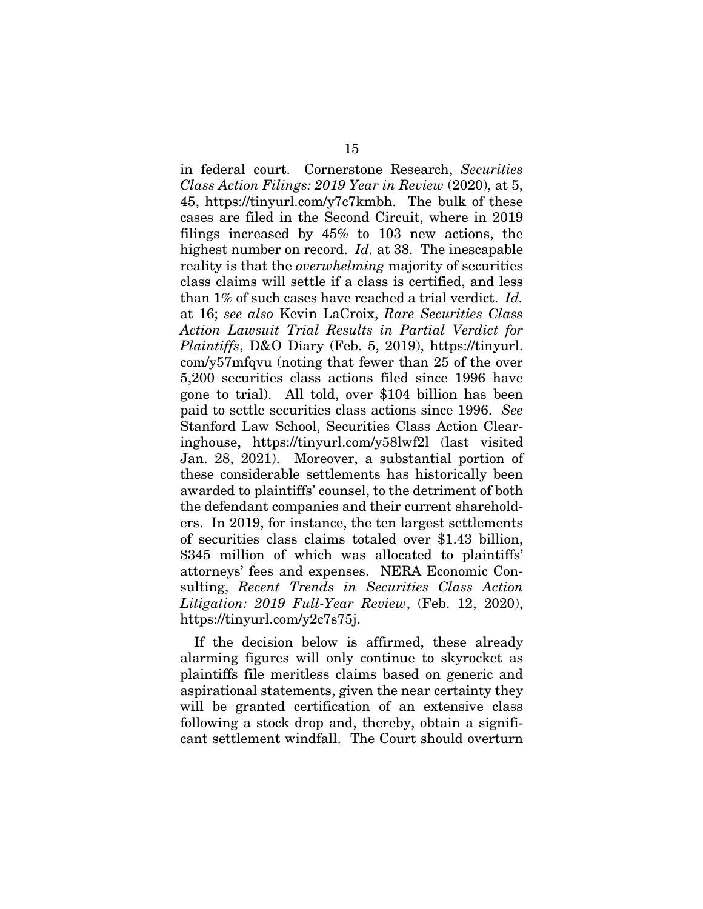in federal court. Cornerstone Research, *Securities Class Action Filings: 2019 Year in Review* (2020), at 5, 45, https://tinyurl.com/y7c7kmbh. The bulk of these cases are filed in the Second Circuit, where in 2019 filings increased by 45% to 103 new actions, the highest number on record. *Id.* at 38. The inescapable reality is that the *overwhelming* majority of securities class claims will settle if a class is certified, and less than 1% of such cases have reached a trial verdict. *Id.* at 16; *see also* Kevin LaCroix, *Rare Securities Class Action Lawsuit Trial Results in Partial Verdict for Plaintiffs*, D&O Diary (Feb. 5, 2019), https://tinyurl. com/y57mfqvu (noting that fewer than 25 of the over 5,200 securities class actions filed since 1996 have gone to trial). All told, over \$104 billion has been paid to settle securities class actions since 1996. *See* Stanford Law School, Securities Class Action Clearinghouse, https://tinyurl.com/y58lwf2l (last visited Jan. 28, 2021). Moreover, a substantial portion of these considerable settlements has historically been awarded to plaintiffs' counsel, to the detriment of both the defendant companies and their current shareholders. In 2019, for instance, the ten largest settlements of securities class claims totaled over \$1.43 billion, \$345 million of which was allocated to plaintiffs' attorneys' fees and expenses. NERA Economic Consulting, *Recent Trends in Securities Class Action Litigation: 2019 Full-Year Review*, (Feb. 12, 2020), https://tinyurl.com/y2c7s75j.

If the decision below is affirmed, these already alarming figures will only continue to skyrocket as plaintiffs file meritless claims based on generic and aspirational statements, given the near certainty they will be granted certification of an extensive class following a stock drop and, thereby, obtain a significant settlement windfall. The Court should overturn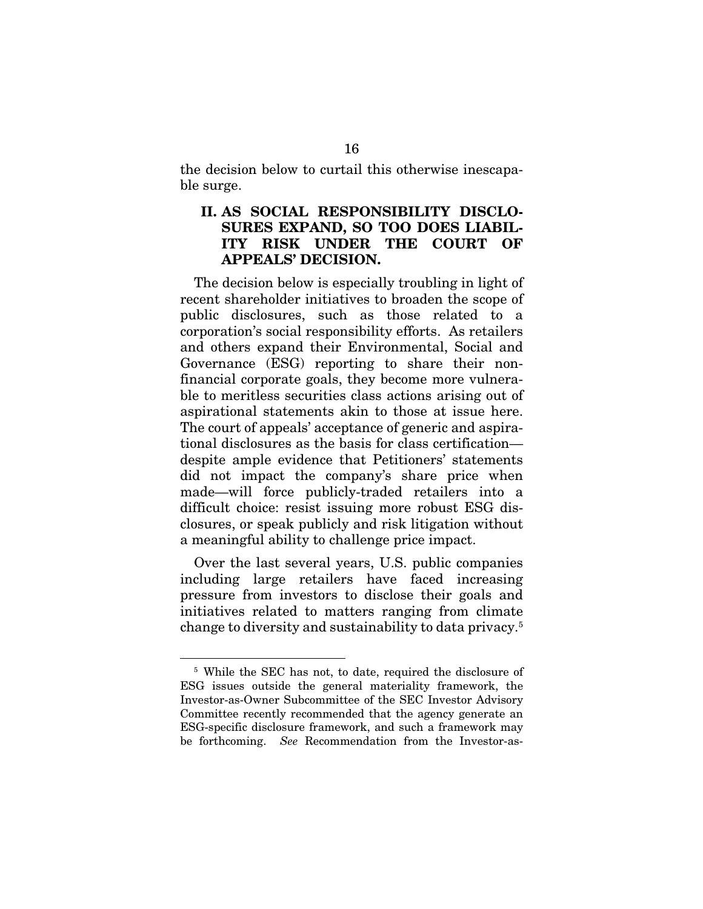the decision below to curtail this otherwise inescapable surge.

#### II. AS SOCIAL RESPONSIBILITY DISCLO-SURES EXPAND, SO TOO DOES LIABIL-ITY RISK UNDER THE COURT OF APPEALS' DECISION.

The decision below is especially troubling in light of recent shareholder initiatives to broaden the scope of public disclosures, such as those related to a corporation's social responsibility efforts. As retailers and others expand their Environmental, Social and Governance (ESG) reporting to share their nonfinancial corporate goals, they become more vulnerable to meritless securities class actions arising out of aspirational statements akin to those at issue here. The court of appeals' acceptance of generic and aspirational disclosures as the basis for class certification despite ample evidence that Petitioners' statements did not impact the company's share price when made—will force publicly-traded retailers into a difficult choice: resist issuing more robust ESG disclosures, or speak publicly and risk litigation without a meaningful ability to challenge price impact.

Over the last several years, U.S. public companies including large retailers have faced increasing pressure from investors to disclose their goals and initiatives related to matters ranging from climate change to diversity and sustainability to data privacy.5

<sup>&</sup>lt;sup>5</sup> While the SEC has not, to date, required the disclosure of ESG issues outside the general materiality framework, the Investor-as-Owner Subcommittee of the SEC Investor Advisory Committee recently recommended that the agency generate an ESG-specific disclosure framework, and such a framework may be forthcoming. *See* Recommendation from the Investor-as-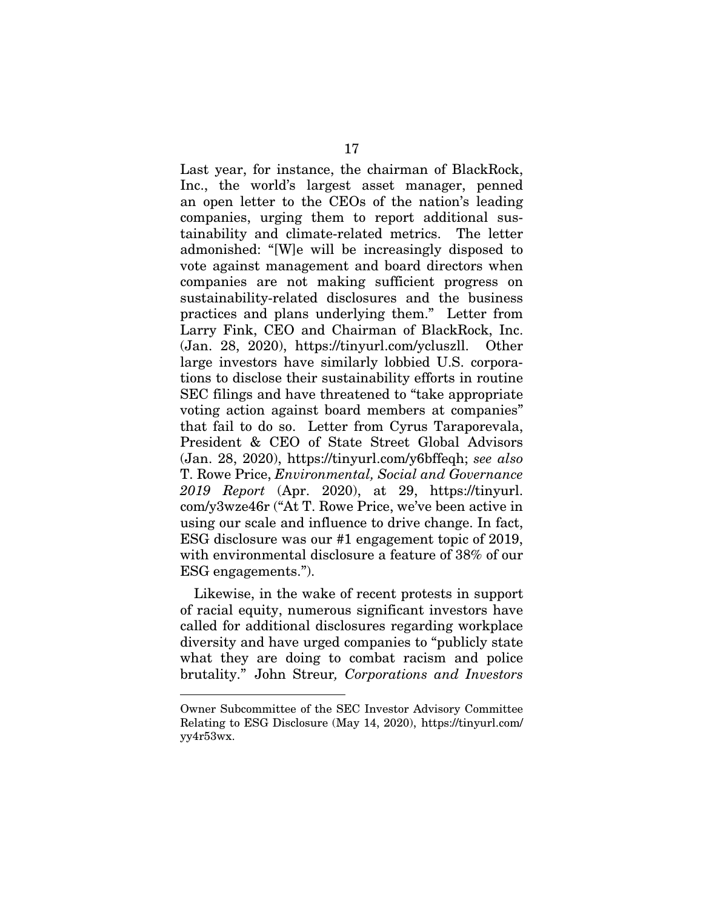Last year, for instance, the chairman of BlackRock, Inc., the world's largest asset manager, penned an open letter to the CEOs of the nation's leading companies, urging them to report additional sustainability and climate-related metrics. The letter admonished: "[W]e will be increasingly disposed to vote against management and board directors when companies are not making sufficient progress on sustainability-related disclosures and the business practices and plans underlying them." Letter from Larry Fink, CEO and Chairman of BlackRock, Inc. (Jan. 28, 2020), https://tinyurl.com/ycluszll. Other large investors have similarly lobbied U.S. corporations to disclose their sustainability efforts in routine SEC filings and have threatened to "take appropriate voting action against board members at companies" that fail to do so. Letter from Cyrus Taraporevala, President & CEO of State Street Global Advisors (Jan. 28, 2020), https://tinyurl.com/y6bffeqh; *see also*  T. Rowe Price, *Environmental, Social and Governance 2019 Report* (Apr. 2020), at 29, https://tinyurl. com/y3wze46r ("At T. Rowe Price, we've been active in using our scale and influence to drive change. In fact, ESG disclosure was our #1 engagement topic of 2019, with environmental disclosure a feature of 38% of our ESG engagements.").

Likewise, in the wake of recent protests in support of racial equity, numerous significant investors have called for additional disclosures regarding workplace diversity and have urged companies to "publicly state what they are doing to combat racism and police brutality." John Streur*, Corporations and Investors* 

Owner Subcommittee of the SEC Investor Advisory Committee Relating to ESG Disclosure (May 14, 2020), https://tinyurl.com/ yy4r53wx.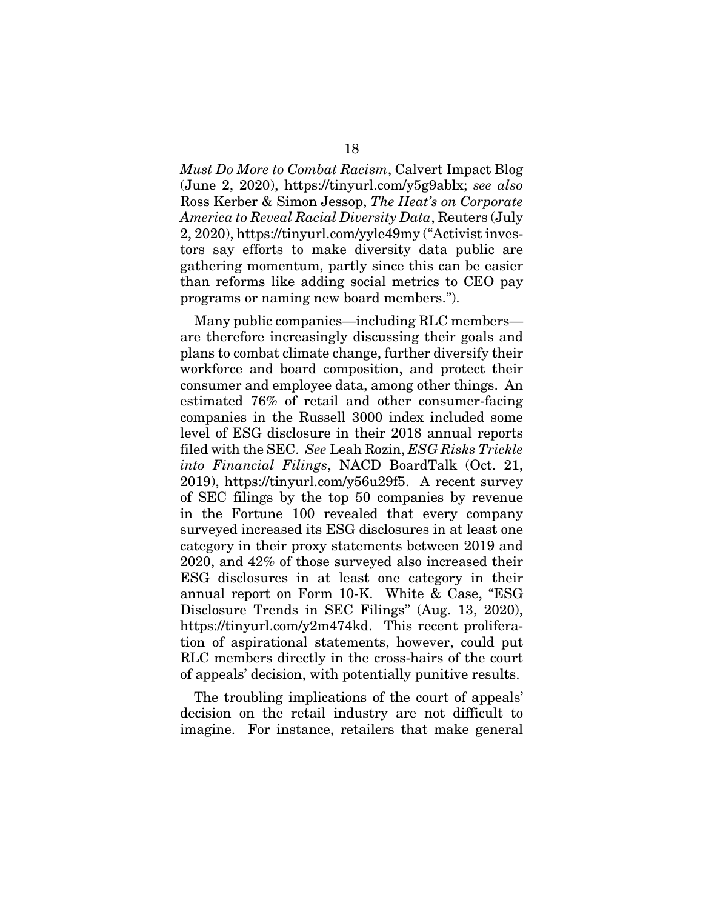*Must Do More to Combat Racism*, Calvert Impact Blog (June 2, 2020), https://tinyurl.com/y5g9ablx; *see also*  Ross Kerber & Simon Jessop, *The Heat's on Corporate America to Reveal Racial Diversity Data*, Reuters (July 2, 2020), https://tinyurl.com/yyle49my ("Activist investors say efforts to make diversity data public are gathering momentum, partly since this can be easier than reforms like adding social metrics to CEO pay programs or naming new board members.").

Many public companies—including RLC members are therefore increasingly discussing their goals and plans to combat climate change, further diversify their workforce and board composition, and protect their consumer and employee data, among other things. An estimated 76% of retail and other consumer-facing companies in the Russell 3000 index included some level of ESG disclosure in their 2018 annual reports filed with the SEC. *See* Leah Rozin, *ESG Risks Trickle into Financial Filings*, NACD BoardTalk (Oct. 21, 2019), https://tinyurl.com/y56u29f5. A recent survey of SEC filings by the top 50 companies by revenue in the Fortune 100 revealed that every company surveyed increased its ESG disclosures in at least one category in their proxy statements between 2019 and 2020, and 42% of those surveyed also increased their ESG disclosures in at least one category in their annual report on Form 10-K. White & Case, "ESG Disclosure Trends in SEC Filings" (Aug. 13, 2020), https://tinyurl.com/y2m474kd. This recent proliferation of aspirational statements, however, could put RLC members directly in the cross-hairs of the court of appeals' decision, with potentially punitive results.

The troubling implications of the court of appeals' decision on the retail industry are not difficult to imagine. For instance, retailers that make general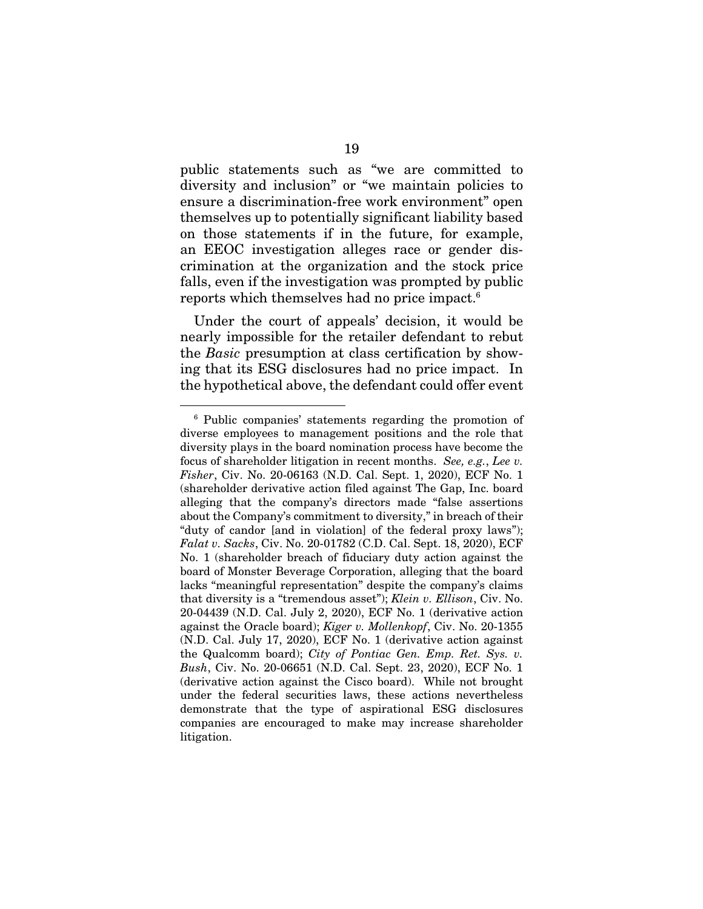public statements such as "we are committed to diversity and inclusion" or "we maintain policies to ensure a discrimination-free work environment" open themselves up to potentially significant liability based on those statements if in the future, for example, an EEOC investigation alleges race or gender discrimination at the organization and the stock price falls, even if the investigation was prompted by public reports which themselves had no price impact.6

Under the court of appeals' decision, it would be nearly impossible for the retailer defendant to rebut the *Basic* presumption at class certification by showing that its ESG disclosures had no price impact. In the hypothetical above, the defendant could offer event

<sup>6</sup> Public companies' statements regarding the promotion of diverse employees to management positions and the role that diversity plays in the board nomination process have become the focus of shareholder litigation in recent months. *See, e.g.*, *Lee v. Fisher*, Civ. No. 20-06163 (N.D. Cal. Sept. 1, 2020), ECF No. 1 (shareholder derivative action filed against The Gap, Inc. board alleging that the company's directors made "false assertions about the Company's commitment to diversity," in breach of their "duty of candor [and in violation] of the federal proxy laws"); *Falat v. Sacks*, Civ. No. 20-01782 (C.D. Cal. Sept. 18, 2020), ECF No. 1 (shareholder breach of fiduciary duty action against the board of Monster Beverage Corporation, alleging that the board lacks "meaningful representation" despite the company's claims that diversity is a "tremendous asset"); *Klein v. Ellison*, Civ. No. 20-04439 (N.D. Cal. July 2, 2020), ECF No. 1 (derivative action against the Oracle board); *Kiger v. Mollenkopf*, Civ. No. 20-1355 (N.D. Cal. July 17, 2020), ECF No. 1 (derivative action against the Qualcomm board); *City of Pontiac Gen. Emp. Ret. Sys. v. Bush*, Civ. No. 20-06651 (N.D. Cal. Sept. 23, 2020), ECF No. 1 (derivative action against the Cisco board). While not brought under the federal securities laws, these actions nevertheless demonstrate that the type of aspirational ESG disclosures companies are encouraged to make may increase shareholder litigation.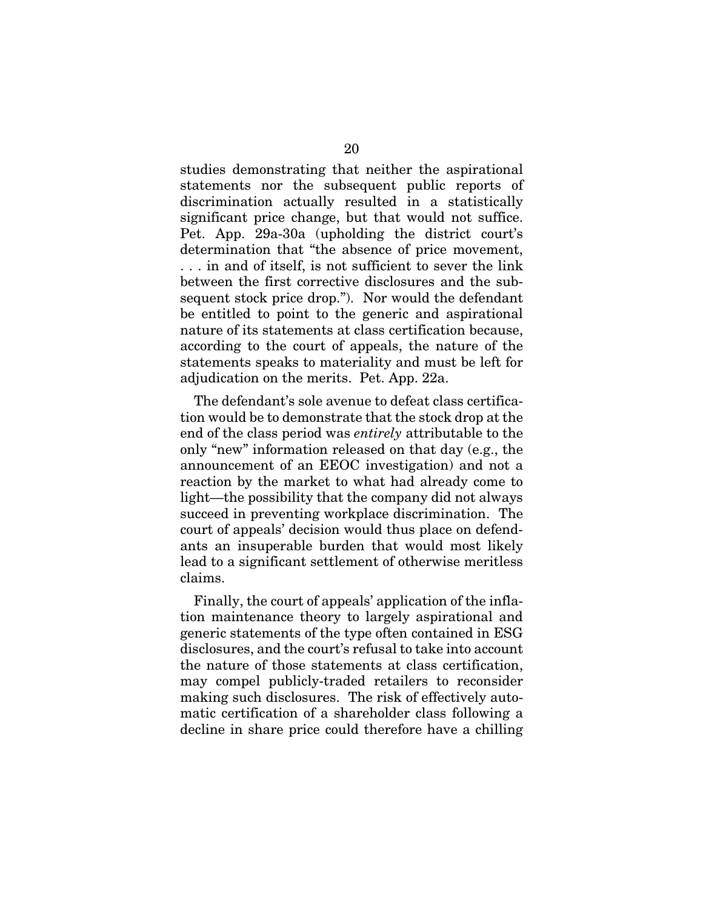studies demonstrating that neither the aspirational statements nor the subsequent public reports of discrimination actually resulted in a statistically significant price change, but that would not suffice. Pet. App. 29a-30a (upholding the district court's determination that "the absence of price movement, . . . in and of itself, is not sufficient to sever the link between the first corrective disclosures and the subsequent stock price drop."). Nor would the defendant be entitled to point to the generic and aspirational nature of its statements at class certification because, according to the court of appeals, the nature of the statements speaks to materiality and must be left for adjudication on the merits. Pet. App. 22a.

The defendant's sole avenue to defeat class certification would be to demonstrate that the stock drop at the end of the class period was *entirely* attributable to the only "new" information released on that day (e.g., the announcement of an EEOC investigation) and not a reaction by the market to what had already come to light—the possibility that the company did not always succeed in preventing workplace discrimination. The court of appeals' decision would thus place on defendants an insuperable burden that would most likely lead to a significant settlement of otherwise meritless claims.

Finally, the court of appeals' application of the inflation maintenance theory to largely aspirational and generic statements of the type often contained in ESG disclosures, and the court's refusal to take into account the nature of those statements at class certification, may compel publicly-traded retailers to reconsider making such disclosures. The risk of effectively automatic certification of a shareholder class following a decline in share price could therefore have a chilling